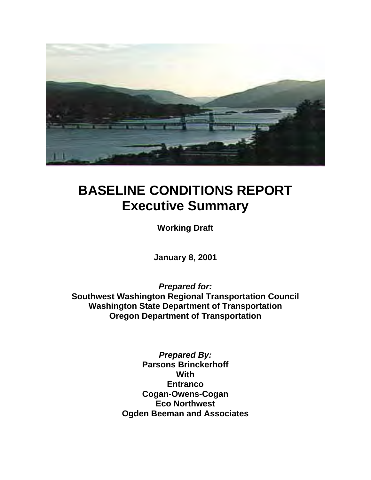

# **BASELINE CONDITIONS REPORT Executive Summary**

**Working Draft** 

**January 8, 2001** 

*Prepared for:*  **Southwest Washington Regional Transportation Council Washington State Department of Transportation Oregon Department of Transportation** 

> *Prepared By:*  **Parsons Brinckerhoff With Entranco Cogan-Owens-Cogan Eco Northwest Ogden Beeman and Associates**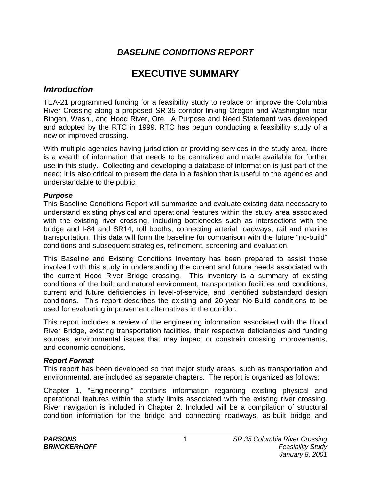## *BASELINE CONDITIONS REPORT*

## **EXECUTIVE SUMMARY**

#### *Introduction*

TEA-21 programmed funding for a feasibility study to replace or improve the Columbia River Crossing along a proposed SR 35 corridor linking Oregon and Washington near Bingen, Wash., and Hood River, Ore. A Purpose and Need Statement was developed and adopted by the RTC in 1999. RTC has begun conducting a feasibility study of a new or improved crossing.

With multiple agencies having jurisdiction or providing services in the study area, there is a wealth of information that needs to be centralized and made available for further use in this study. Collecting and developing a database of information is just part of the need; it is also critical to present the data in a fashion that is useful to the agencies and understandable to the public.

#### *Purpose*

This Baseline Conditions Report will summarize and evaluate existing data necessary to understand existing physical and operational features within the study area associated with the existing river crossing, including bottlenecks such as intersections with the bridge and I-84 and SR14, toll booths, connecting arterial roadways, rail and marine transportation. This data will form the baseline for comparison with the future "no-build" conditions and subsequent strategies, refinement, screening and evaluation.

This Baseline and Existing Conditions Inventory has been prepared to assist those involved with this study in understanding the current and future needs associated with the current Hood River Bridge crossing. This inventory is a summary of existing conditions of the built and natural environment, transportation facilities and conditions, current and future deficiencies in level-of-service, and identified substandard design conditions. This report describes the existing and 20-year No-Build conditions to be used for evaluating improvement alternatives in the corridor.

This report includes a review of the engineering information associated with the Hood River Bridge, existing transportation facilities, their respective deficiencies and funding sources, environmental issues that may impact or constrain crossing improvements, and economic conditions.

#### *Report Format*

This report has been developed so that major study areas, such as transportation and environmental, are included as separate chapters. The report is organized as follows:

Chapter 1, "Engineering," contains information regarding existing physical and operational features within the study limits associated with the existing river crossing. River navigation is included in Chapter 2. Included will be a compilation of structural condition information for the bridge and connecting roadways, as-built bridge and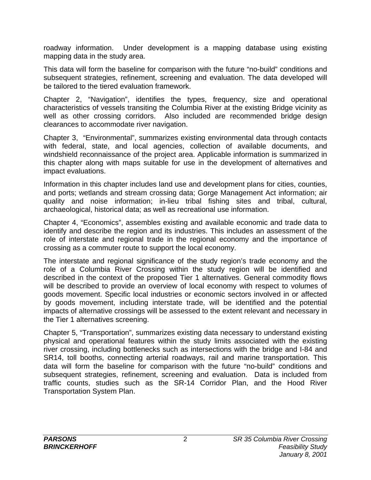roadway information. Under development is a mapping database using existing mapping data in the study area.

This data will form the baseline for comparison with the future "no-build" conditions and subsequent strategies, refinement, screening and evaluation. The data developed will be tailored to the tiered evaluation framework.

Chapter 2, "Navigation", identifies the types, frequency, size and operational characteristics of vessels transiting the Columbia River at the existing Bridge vicinity as well as other crossing corridors. Also included are recommended bridge design clearances to accommodate river navigation.

Chapter 3, "Environmental", summarizes existing environmental data through contacts with federal, state, and local agencies, collection of available documents, and windshield reconnaissance of the project area. Applicable information is summarized in this chapter along with maps suitable for use in the development of alternatives and impact evaluations.

Information in this chapter includes land use and development plans for cities, counties, and ports; wetlands and stream crossing data; Gorge Management Act information; air quality and noise information; in-lieu tribal fishing sites and tribal, cultural, archaeological, historical data; as well as recreational use information.

Chapter 4, "Economics", assembles existing and available economic and trade data to identify and describe the region and its industries. This includes an assessment of the role of interstate and regional trade in the regional economy and the importance of crossing as a commuter route to support the local economy.

The interstate and regional significance of the study region's trade economy and the role of a Columbia River Crossing within the study region will be identified and described in the context of the proposed Tier 1 alternatives. General commodity flows will be described to provide an overview of local economy with respect to volumes of goods movement. Specific local industries or economic sectors involved in or affected by goods movement, including interstate trade, will be identified and the potential impacts of alternative crossings will be assessed to the extent relevant and necessary in the Tier 1 alternatives screening.

Chapter 5, "Transportation", summarizes existing data necessary to understand existing physical and operational features within the study limits associated with the existing river crossing, including bottlenecks such as intersections with the bridge and I-84 and SR14, toll booths, connecting arterial roadways, rail and marine transportation. This data will form the baseline for comparison with the future "no-build" conditions and subsequent strategies, refinement, screening and evaluation. Data is included from traffic counts, studies such as the SR-14 Corridor Plan, and the Hood River Transportation System Plan.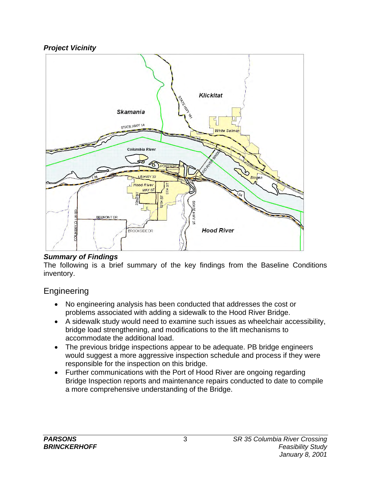#### *Project Vicinity*



#### *Summary of Findings*

The following is a brief summary of the key findings from the Baseline Conditions inventory.

## Engineering

- No engineering analysis has been conducted that addresses the cost or problems associated with adding a sidewalk to the Hood River Bridge.
- A sidewalk study would need to examine such issues as wheelchair accessibility, bridge load strengthening, and modifications to the lift mechanisms to accommodate the additional load.
- The previous bridge inspections appear to be adequate. PB bridge engineers would suggest a more aggressive inspection schedule and process if they were responsible for the inspection on this bridge.
- Further communications with the Port of Hood River are ongoing regarding Bridge Inspection reports and maintenance repairs conducted to date to compile a more comprehensive understanding of the Bridge.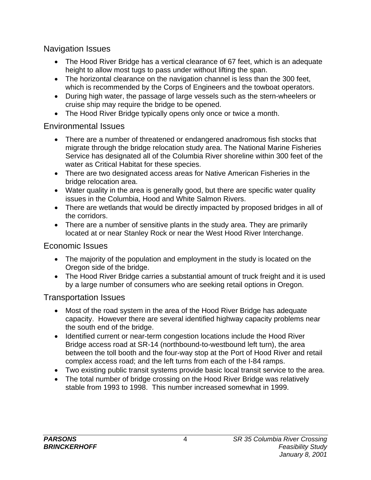Navigation Issues

- The Hood River Bridge has a vertical clearance of 67 feet, which is an adequate height to allow most tugs to pass under without lifting the span.
- The horizontal clearance on the navigation channel is less than the 300 feet, which is recommended by the Corps of Engineers and the towboat operators.
- During high water, the passage of large vessels such as the stern-wheelers or cruise ship may require the bridge to be opened.
- The Hood River Bridge typically opens only once or twice a month.

## Environmental Issues

- There are a number of threatened or endangered anadromous fish stocks that migrate through the bridge relocation study area. The National Marine Fisheries Service has designated all of the Columbia River shoreline within 300 feet of the water as Critical Habitat for these species.
- There are two designated access areas for Native American Fisheries in the bridge relocation area.
- Water quality in the area is generally good, but there are specific water quality issues in the Columbia, Hood and White Salmon Rivers.
- There are wetlands that would be directly impacted by proposed bridges in all of the corridors.
- There are a number of sensitive plants in the study area. They are primarily located at or near Stanley Rock or near the West Hood River Interchange.

## Economic Issues

- The majority of the population and employment in the study is located on the Oregon side of the bridge.
- The Hood River Bridge carries a substantial amount of truck freight and it is used by a large number of consumers who are seeking retail options in Oregon.

## Transportation Issues

- Most of the road system in the area of the Hood River Bridge has adequate capacity. However there are several identified highway capacity problems near the south end of the bridge.
- Identified current or near-term congestion locations include the Hood River Bridge access road at SR-14 (northbound-to-westbound left turn), the area between the toll booth and the four-way stop at the Port of Hood River and retail complex access road; and the left turns from each of the I-84 ramps.
- Two existing public transit systems provide basic local transit service to the area.
- The total number of bridge crossing on the Hood River Bridge was relatively stable from 1993 to 1998. This number increased somewhat in 1999.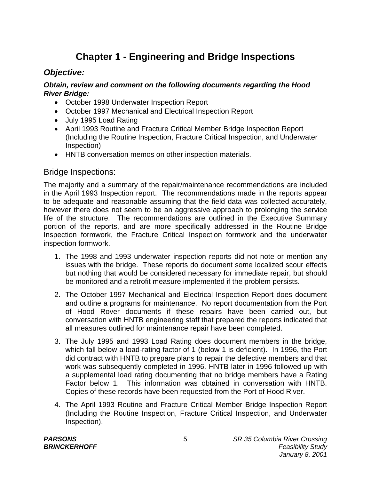## **Chapter 1 - Engineering and Bridge Inspections**

## *Objective:*

#### *Obtain, review and comment on the following documents regarding the Hood River Bridge:*

- October 1998 Underwater Inspection Report
- October 1997 Mechanical and Electrical Inspection Report
- July 1995 Load Rating
- April 1993 Routine and Fracture Critical Member Bridge Inspection Report (Including the Routine Inspection, Fracture Critical Inspection, and Underwater Inspection)
- HNTB conversation memos on other inspection materials.

#### Bridge Inspections:

The majority and a summary of the repair/maintenance recommendations are included in the April 1993 Inspection report. The recommendations made in the reports appear to be adequate and reasonable assuming that the field data was collected accurately, however there does not seem to be an aggressive approach to prolonging the service life of the structure. The recommendations are outlined in the Executive Summary portion of the reports, and are more specifically addressed in the Routine Bridge Inspection formwork, the Fracture Critical Inspection formwork and the underwater inspection formwork.

- 1. The 1998 and 1993 underwater inspection reports did not note or mention any issues with the bridge. These reports do document some localized scour effects but nothing that would be considered necessary for immediate repair, but should be monitored and a retrofit measure implemented if the problem persists.
- 2. The October 1997 Mechanical and Electrical Inspection Report does document and outline a programs for maintenance. No report documentation from the Port of Hood Rover documents if these repairs have been carried out, but conversation with HNTB engineering staff that prepared the reports indicated that all measures outlined for maintenance repair have been completed.
- 3. The July 1995 and 1993 Load Rating does document members in the bridge, which fall below a load-rating factor of 1 (below 1 is deficient). In 1996, the Port did contract with HNTB to prepare plans to repair the defective members and that work was subsequently completed in 1996. HNTB later in 1996 followed up with a supplemental load rating documenting that no bridge members have a Rating Factor below 1. This information was obtained in conversation with HNTB. Copies of these records have been requested from the Port of Hood River.
- 4. The April 1993 Routine and Fracture Critical Member Bridge Inspection Report (Including the Routine Inspection, Fracture Critical Inspection, and Underwater Inspection).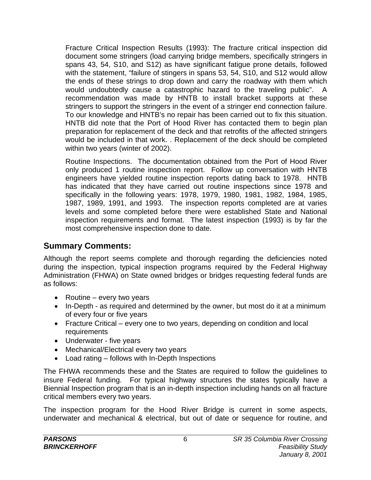Fracture Critical Inspection Results (1993): The fracture critical inspection did document some stringers (load carrying bridge members, specifically stringers in spans 43, 54, S10, and S12) as have significant fatigue prone details, followed with the statement, "failure of stingers in spans 53, 54, S10, and S12 would allow the ends of these strings to drop down and carry the roadway with them which would undoubtedly cause a catastrophic hazard to the traveling public". A recommendation was made by HNTB to install bracket supports at these stringers to support the stringers in the event of a stringer end connection failure. To our knowledge and HNTB's no repair has been carried out to fix this situation. HNTB did note that the Port of Hood River has contacted them to begin plan preparation for replacement of the deck and that retrofits of the affected stringers would be included in that work. . Replacement of the deck should be completed within two years (winter of 2002).

Routine Inspections. The documentation obtained from the Port of Hood River only produced 1 routine inspection report. Follow up conversation with HNTB engineers have yielded routine inspection reports dating back to 1978. HNTB has indicated that they have carried out routine inspections since 1978 and specifically in the following years: 1978, 1979, 1980, 1981, 1982, 1984, 1985, 1987, 1989, 1991, and 1993. The inspection reports completed are at varies levels and some completed before there were established State and National inspection requirements and format. The latest inspection (1993) is by far the most comprehensive inspection done to date.

## **Summary Comments:**

Although the report seems complete and thorough regarding the deficiencies noted during the inspection, typical inspection programs required by the Federal Highway Administration (FHWA) on State owned bridges or bridges requesting federal funds are as follows:

- Routine every two years
- In-Depth as required and determined by the owner, but most do it at a minimum of every four or five years
- Fracture Critical every one to two years, depending on condition and local requirements
- Underwater five years
- Mechanical/Electrical every two years
- Load rating follows with In-Depth Inspections

The FHWA recommends these and the States are required to follow the guidelines to insure Federal funding. For typical highway structures the states typically have a Biennial Inspection program that is an in-depth inspection including hands on all fracture critical members every two years.

The inspection program for the Hood River Bridge is current in some aspects, underwater and mechanical & electrical, but out of date or sequence for routine, and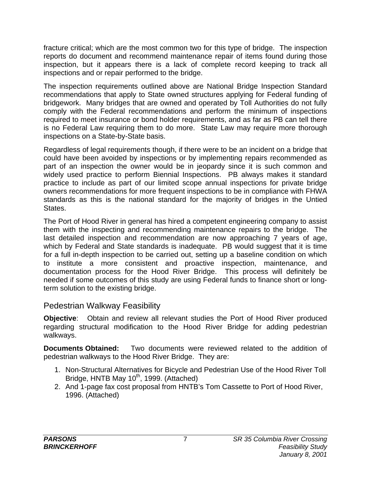fracture critical; which are the most common two for this type of bridge. The inspection reports do document and recommend maintenance repair of items found during those inspection, but it appears there is a lack of complete record keeping to track all inspections and or repair performed to the bridge.

The inspection requirements outlined above are National Bridge Inspection Standard recommendations that apply to State owned structures applying for Federal funding of bridgework. Many bridges that are owned and operated by Toll Authorities do not fully comply with the Federal recommendations and perform the minimum of inspections required to meet insurance or bond holder requirements, and as far as PB can tell there is no Federal Law requiring them to do more. State Law may require more thorough inspections on a State-by-State basis.

Regardless of legal requirements though, if there were to be an incident on a bridge that could have been avoided by inspections or by implementing repairs recommended as part of an inspection the owner would be in jeopardy since it is such common and widely used practice to perform Biennial Inspections. PB always makes it standard practice to include as part of our limited scope annual inspections for private bridge owners recommendations for more frequent inspections to be in compliance with FHWA standards as this is the national standard for the majority of bridges in the Untied States.

The Port of Hood River in general has hired a competent engineering company to assist them with the inspecting and recommending maintenance repairs to the bridge. The last detailed inspection and recommendation are now approaching 7 years of age, which by Federal and State standards is inadequate. PB would suggest that it is time for a full in-depth inspection to be carried out, setting up a baseline condition on which to institute a more consistent and proactive inspection, maintenance, and documentation process for the Hood River Bridge. This process will definitely be needed if some outcomes of this study are using Federal funds to finance short or longterm solution to the existing bridge.

#### Pedestrian Walkway Feasibility

**Objective**: Obtain and review all relevant studies the Port of Hood River produced regarding structural modification to the Hood River Bridge for adding pedestrian walkways.

**Documents Obtained:** Two documents were reviewed related to the addition of pedestrian walkways to the Hood River Bridge. They are:

- 1. Non-Structural Alternatives for Bicycle and Pedestrian Use of the Hood River Toll Bridge, HNTB May  $10^{th}$ , 1999. (Attached)
- 2. And 1-page fax cost proposal from HNTB's Tom Cassette to Port of Hood River, 1996. (Attached)